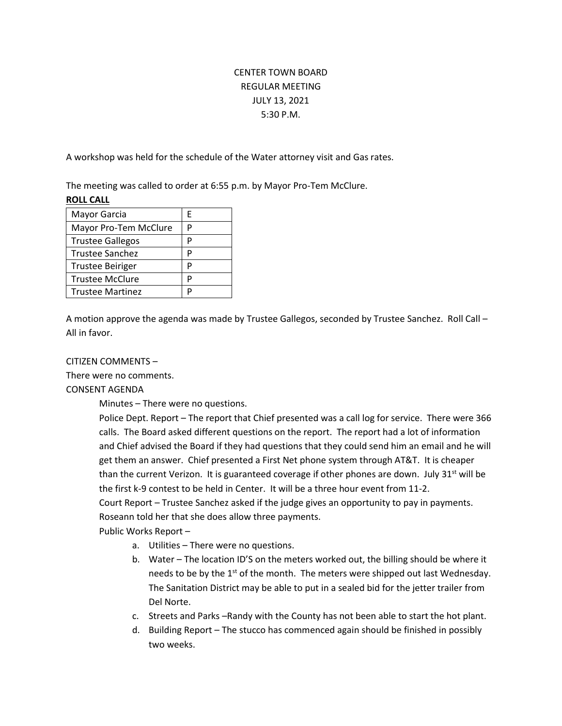# CENTER TOWN BOARD REGULAR MEETING JULY 13, 2021 5:30 P.M.

A workshop was held for the schedule of the Water attorney visit and Gas rates.

The meeting was called to order at 6:55 p.m. by Mayor Pro-Tem McClure. **ROLL CALL**

| F |
|---|
|   |
| Р |
| P |
| D |
| D |
|   |
|   |

A motion approve the agenda was made by Trustee Gallegos, seconded by Trustee Sanchez. Roll Call – All in favor.

## CITIZEN COMMENTS –

There were no comments.

CONSENT AGENDA

Minutes – There were no questions.

Police Dept. Report – The report that Chief presented was a call log for service. There were 366 calls. The Board asked different questions on the report. The report had a lot of information and Chief advised the Board if they had questions that they could send him an email and he will get them an answer. Chief presented a First Net phone system through AT&T. It is cheaper than the current Verizon. It is guaranteed coverage if other phones are down. July 31<sup>st</sup> will be the first k-9 contest to be held in Center. It will be a three hour event from 11-2. Court Report – Trustee Sanchez asked if the judge gives an opportunity to pay in payments. Roseann told her that she does allow three payments.

Public Works Report –

- a. Utilities There were no questions.
- b. Water The location ID'S on the meters worked out, the billing should be where it needs to be by the  $1^{st}$  of the month. The meters were shipped out last Wednesday. The Sanitation District may be able to put in a sealed bid for the jetter trailer from Del Norte.
- c. Streets and Parks –Randy with the County has not been able to start the hot plant.
- d. Building Report The stucco has commenced again should be finished in possibly two weeks.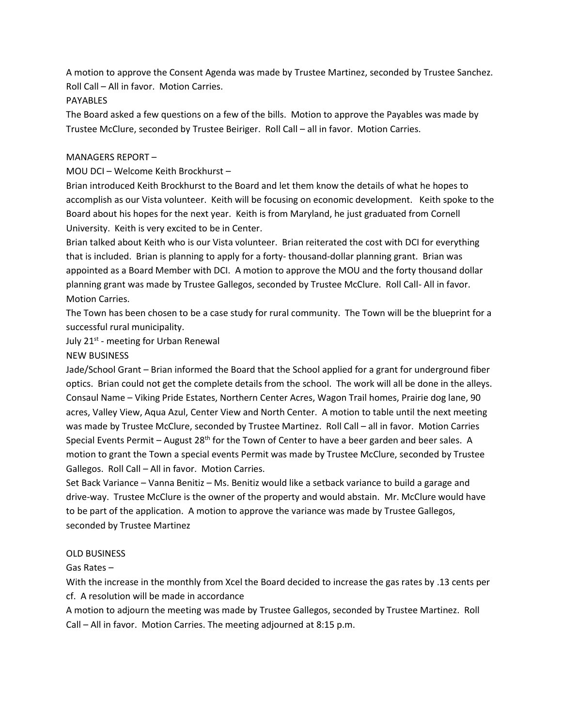A motion to approve the Consent Agenda was made by Trustee Martinez, seconded by Trustee Sanchez. Roll Call – All in favor. Motion Carries.

#### PAYABLES

The Board asked a few questions on a few of the bills. Motion to approve the Payables was made by Trustee McClure, seconded by Trustee Beiriger. Roll Call – all in favor. Motion Carries.

## MANAGERS REPORT –

MOU DCI – Welcome Keith Brockhurst –

Brian introduced Keith Brockhurst to the Board and let them know the details of what he hopes to accomplish as our Vista volunteer. Keith will be focusing on economic development. Keith spoke to the Board about his hopes for the next year. Keith is from Maryland, he just graduated from Cornell University. Keith is very excited to be in Center.

Brian talked about Keith who is our Vista volunteer. Brian reiterated the cost with DCI for everything that is included. Brian is planning to apply for a forty- thousand-dollar planning grant. Brian was appointed as a Board Member with DCI. A motion to approve the MOU and the forty thousand dollar planning grant was made by Trustee Gallegos, seconded by Trustee McClure. Roll Call- All in favor. Motion Carries.

The Town has been chosen to be a case study for rural community. The Town will be the blueprint for a successful rural municipality.

July 21<sup>st</sup> - meeting for Urban Renewal

## NEW BUSINESS

Jade/School Grant – Brian informed the Board that the School applied for a grant for underground fiber optics. Brian could not get the complete details from the school. The work will all be done in the alleys. Consaul Name – Viking Pride Estates, Northern Center Acres, Wagon Trail homes, Prairie dog lane, 90 acres, Valley View, Aqua Azul, Center View and North Center. A motion to table until the next meeting was made by Trustee McClure, seconded by Trustee Martinez. Roll Call – all in favor. Motion Carries Special Events Permit – August  $28<sup>th</sup>$  for the Town of Center to have a beer garden and beer sales. A motion to grant the Town a special events Permit was made by Trustee McClure, seconded by Trustee Gallegos. Roll Call – All in favor. Motion Carries.

Set Back Variance – Vanna Benitiz – Ms. Benitiz would like a setback variance to build a garage and drive-way. Trustee McClure is the owner of the property and would abstain. Mr. McClure would have to be part of the application. A motion to approve the variance was made by Trustee Gallegos, seconded by Trustee Martinez

#### OLD BUSINESS

Gas Rates –

With the increase in the monthly from Xcel the Board decided to increase the gas rates by .13 cents per cf. A resolution will be made in accordance

A motion to adjourn the meeting was made by Trustee Gallegos, seconded by Trustee Martinez. Roll Call – All in favor. Motion Carries. The meeting adjourned at 8:15 p.m.